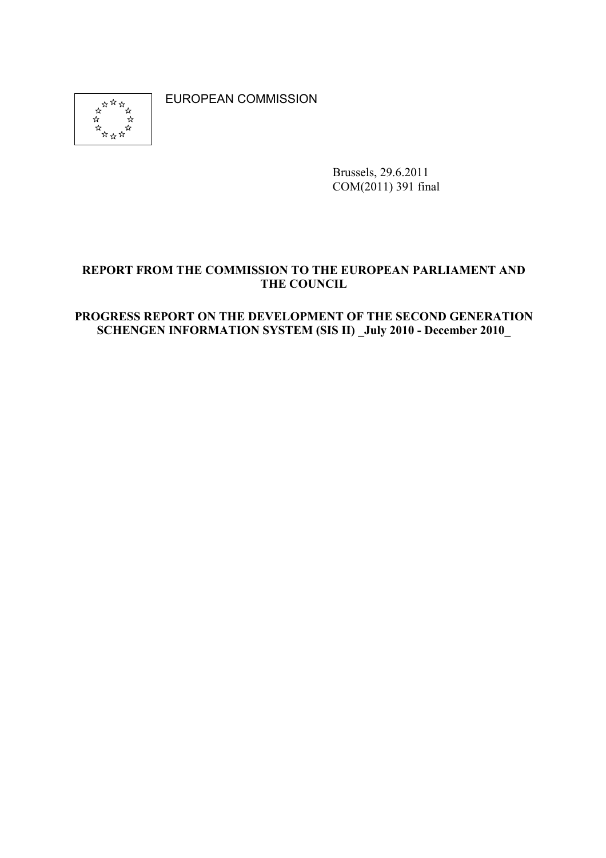

EUROPEAN COMMISSION

Brussels, 29.6.2011 COM(2011) 391 final

#### REPORT FROM THE COMMISSION TO THE EUROPEAN PARLIAMENT AND **THE COUNCIL**

#### PROGRESS REPORT ON THE DEVELOPMENT OF THE SECOND GENERATION **SCHENGEN INFORMATION SYSTEM (SIS II)** July 2010 - December 2010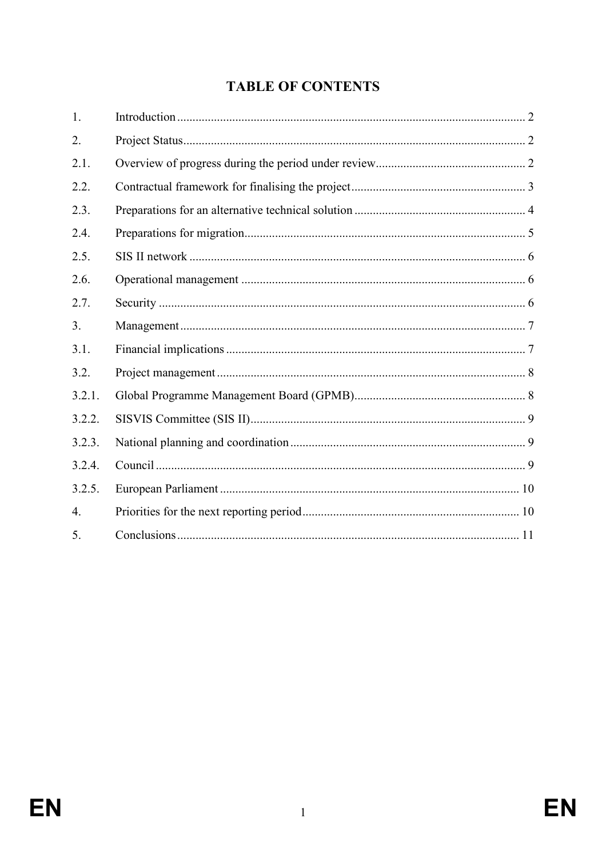# **TABLE OF CONTENTS**

| 1.               |  |
|------------------|--|
| 2.               |  |
| 2.1.             |  |
| 2.2.             |  |
| 2.3.             |  |
| 2.4.             |  |
| 2.5.             |  |
| 2.6.             |  |
| 2.7.             |  |
| 3.               |  |
| 3.1.             |  |
| 3.2.             |  |
| 3.2.1.           |  |
| 3.2.2.           |  |
| 3.2.3.           |  |
| 3.2.4.           |  |
| 3.2.5.           |  |
| $\overline{4}$ . |  |
| 5.               |  |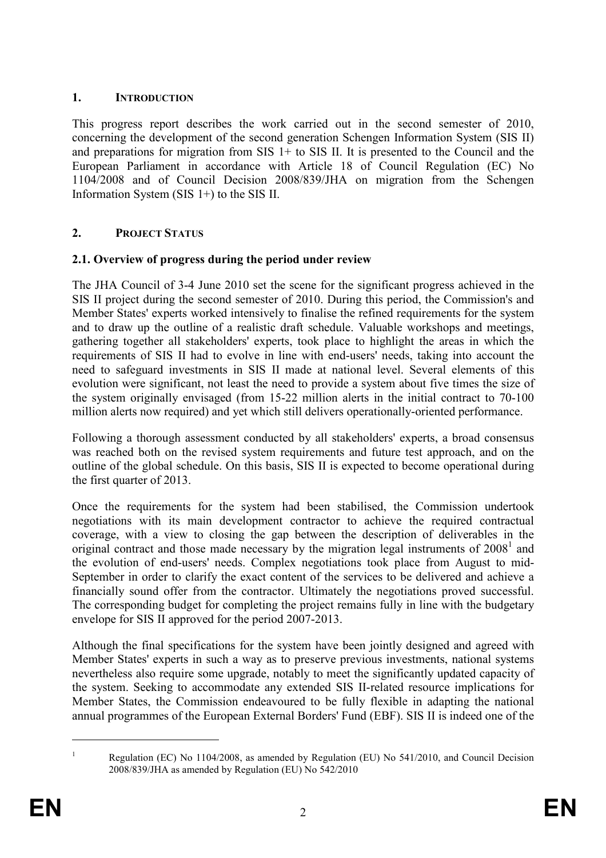#### 1. **INTRODUCTION**

This progress report describes the work carried out in the second semester of 2010, concerning the development of the second generation Schengen Information System (SIS II) and preparations for migration from  $SIS$  1+ to  $SIS$  II. It is presented to the Council and the European Parliament in accordance with Article 18 of Council Regulation (EC) No 1104/2008 and of Council Decision 2008/839/JHA on migration from the Schengen Information System (SIS 1+) to the SIS II.

### **2. PROJECT STATUS**

### **2.1. Overview of progress during the period under review**

The JHA Council of 3-4 June 2010 set the scene for the significant progress achieved in the SIS II project during the second semester of 2010. During this period, the Commission's and Member States' experts worked intensively to finalise the refined requirements for the system and to draw up the outline of a realistic draft schedule. Valuable workshops and meetings, gathering together all stakeholders' experts, took place to highlight the areas in which the requirements of SIS II had to evolve in line with end-users' needs, taking into account the need to safeguard investments in SIS II made at national level. Several elements of this evolution were significant, not least the need to provide a system about five times the size of the system originally envisaged (from 15-22 million alerts in the initial contract to 70-100 million alerts now required) and yet which still delivers operationally-oriented performance.

Following a thorough assessment conducted by all stakeholders' experts, a broad consensus was reached both on the revised system requirements and future test approach, and on the outline of the global schedule. On this basis, SIS II is expected to become operational during the first quarter of 2013.

Once the requirements for the system had been stabilised, the Commission undertook negotiations with its main development contractor to achieve the required contractual coverage, with a view to closing the gap between the description of deliverables in the original contract and those made necessary by the migration legal instruments of  $2008<sup>1</sup>$  and the evolution of end-users' needs. Complex negotiations took place from August to mid-September in order to clarify the exact content of the services to be delivered and achieve a financially sound offer from the contractor. Ultimately the negotiations proved successful. The corresponding budget for completing the project remains fully in line with the budgetary envelope for SIS II approved for the period 2007-2013.

Although the final specifications for the system have been jointly designed and agreed with Member States' experts in such a way as to preserve previous investments, national systems nevertheless also require some upgrade, notably to meet the significantly updated capacity of the system. Seeking to accommodate any extended SIS II-related resource implications for Member States, the Commission endeavoured to be fully flexible in adapting the national annual programmes of the European External Borders' Fund (EBF). SIS II is indeed one of the

 $\overline{a}$ 1

Regulation (EC) No 1104/2008, as amended by Regulation (EU) No 541/2010, and Council Decision 2008/839/JHA as amended by Regulation (EU) No 542/2010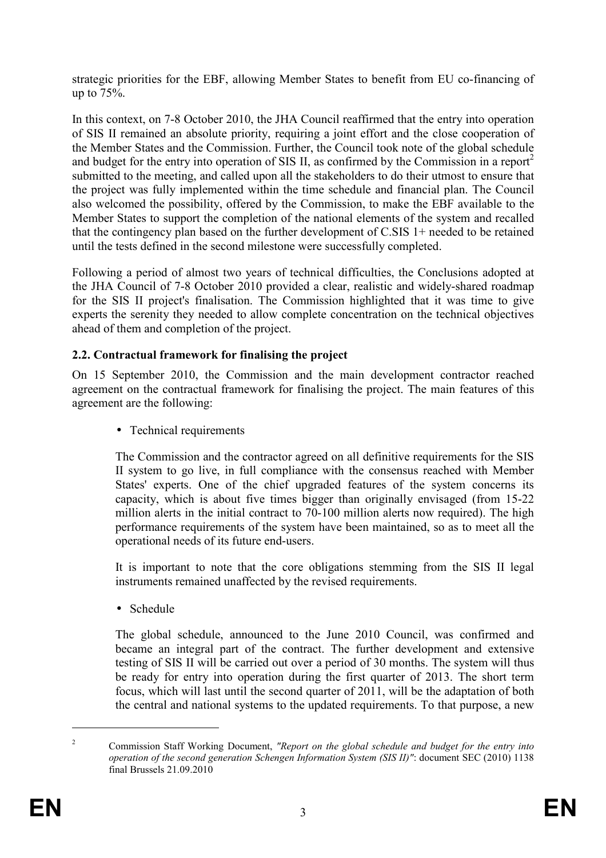strategic priorities for the EBF, allowing Member States to benefit from EU co-financing of up to 75%.

In this context, on 7-8 October 2010, the JHA Council reaffirmed that the entry into operation of SIS II remained an absolute priority, requiring a joint effort and the close cooperation of the Member States and the Commission. Further, the Council took note of the global schedule and budget for the entry into operation of SIS II, as confirmed by the Commission in a report<sup>2</sup> submitted to the meeting, and called upon all the stakeholders to do their utmost to ensure that the project was fully implemented within the time schedule and financial plan. The Council also welcomed the possibility, offered by the Commission, to make the EBF available to the Member States to support the completion of the national elements of the system and recalled that the contingency plan based on the further development of C.SIS 1+ needed to be retained until the tests defined in the second milestone were successfully completed.

Following a period of almost two years of technical difficulties, the Conclusions adopted at the JHA Council of 7-8 October 2010 provided a clear, realistic and widely-shared roadmap for the SIS II project's finalisation. The Commission highlighted that it was time to give experts the serenity they needed to allow complete concentration on the technical objectives ahead of them and completion of the project.

#### **2.2. Contractual framework for finalising the project**

On 15 September 2010, the Commission and the main development contractor reached agreement on the contractual framework for finalising the project. The main features of this agreement are the following:

• Technical requirements

The Commission and the contractor agreed on all definitive requirements for the SIS II system to go live, in full compliance with the consensus reached with Member States' experts. One of the chief upgraded features of the system concerns its capacity, which is about five times bigger than originally envisaged (from 15-22 million alerts in the initial contract to 70-100 million alerts now required). The high performance requirements of the system have been maintained, so as to meet all the operational needs of its future end-users.

It is important to note that the core obligations stemming from the SIS II legal instruments remained unaffected by the revised requirements.

• Schedule

The global schedule, announced to the June 2010 Council, was confirmed and became an integral part of the contract. The further development and extensive testing of SIS II will be carried out over a period of 30 months. The system will thus be ready for entry into operation during the first quarter of 2013. The short term focus, which will last until the second quarter of 2011, will be the adaptation of both the central and national systems to the updated requirements. To that purpose, a new

 $\overline{a}$ 

<sup>2</sup> Commission Staff Working Document, *"Report on the global schedule and budget for the entry into operation of the second generation Schengen Information System (SIS II)"*: document SEC (2010) 1138 final Brussels 21.09.2010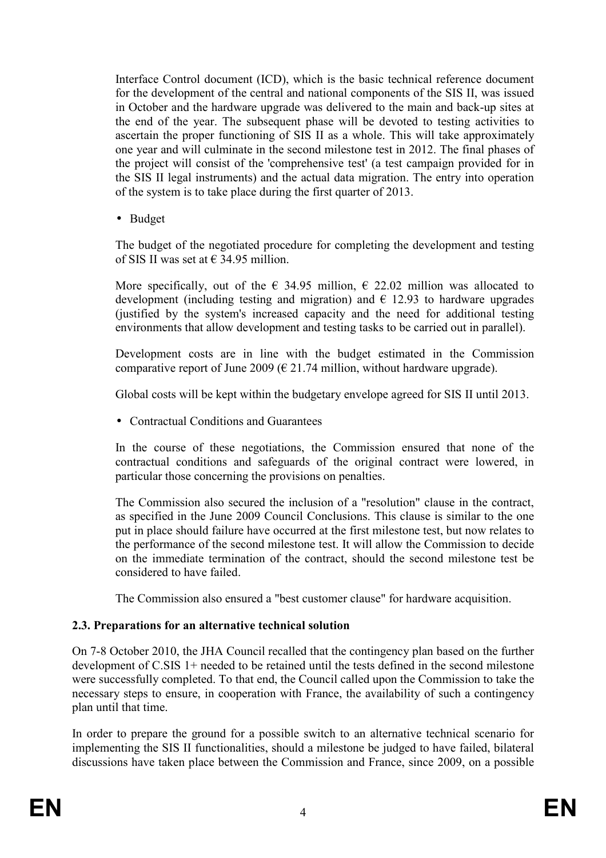Interface Control document (ICD), which is the basic technical reference document for the development of the central and national components of the SIS II, was issued in October and the hardware upgrade was delivered to the main and back-up sites at the end of the year. The subsequent phase will be devoted to testing activities to ascertain the proper functioning of SIS II as a whole. This will take approximately one year and will culminate in the second milestone test in 2012. The final phases of the project will consist of the 'comprehensive test' (a test campaign provided for in the SIS II legal instruments) and the actual data migration. The entry into operation of the system is to take place during the first quarter of 2013.

• Budget

The budget of the negotiated procedure for completing the development and testing of SIS II was set at  $\epsilon$  34.95 million.

More specifically, out of the  $\epsilon$  34.95 million,  $\epsilon$  22.02 million was allocated to development (including testing and migration) and  $\epsilon$  12.93 to hardware upgrades (justified by the system's increased capacity and the need for additional testing environments that allow development and testing tasks to be carried out in parallel).

Development costs are in line with the budget estimated in the Commission comparative report of June 2009 ( $\epsilon$  21.74 million, without hardware upgrade).

Global costs will be kept within the budgetary envelope agreed for SIS II until 2013.

• Contractual Conditions and Guarantees

In the course of these negotiations, the Commission ensured that none of the contractual conditions and safeguards of the original contract were lowered, in particular those concerning the provisions on penalties.

The Commission also secured the inclusion of a "resolution" clause in the contract, as specified in the June 2009 Council Conclusions. This clause is similar to the one put in place should failure have occurred at the first milestone test, but now relates to the performance of the second milestone test. It will allow the Commission to decide on the immediate termination of the contract, should the second milestone test be considered to have failed.

The Commission also ensured a "best customer clause" for hardware acquisition.

## **2.3. Preparations for an alternative technical solution**

On 7-8 October 2010, the JHA Council recalled that the contingency plan based on the further development of C.SIS 1+ needed to be retained until the tests defined in the second milestone were successfully completed. To that end, the Council called upon the Commission to take the necessary steps to ensure, in cooperation with France, the availability of such a contingency plan until that time.

In order to prepare the ground for a possible switch to an alternative technical scenario for implementing the SIS II functionalities, should a milestone be judged to have failed, bilateral discussions have taken place between the Commission and France, since 2009, on a possible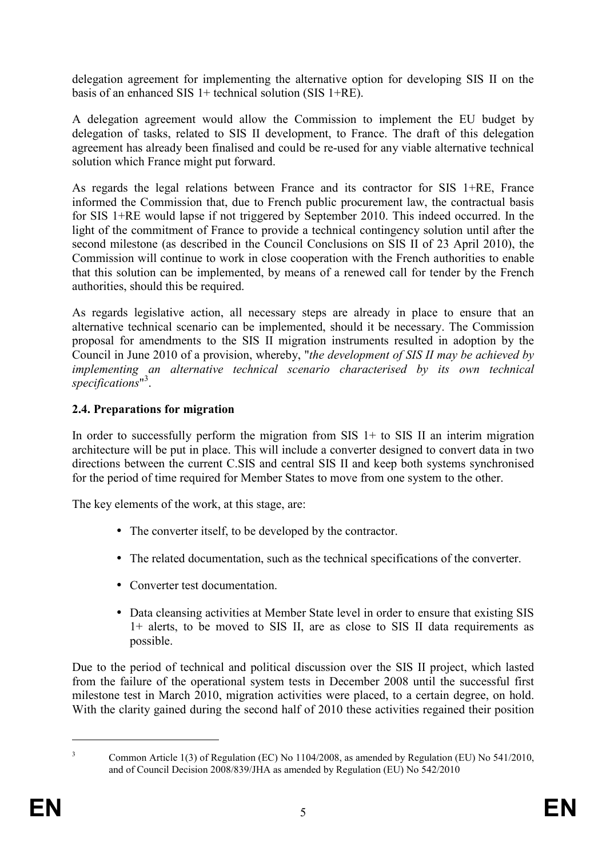delegation agreement for implementing the alternative option for developing SIS II on the basis of an enhanced SIS 1+ technical solution (SIS 1+RE).

A delegation agreement would allow the Commission to implement the EU budget by delegation of tasks, related to SIS II development, to France. The draft of this delegation agreement has already been finalised and could be re-used for any viable alternative technical solution which France might put forward.

As regards the legal relations between France and its contractor for SIS 1+RE, France informed the Commission that, due to French public procurement law, the contractual basis for SIS 1+RE would lapse if not triggered by September 2010. This indeed occurred. In the light of the commitment of France to provide a technical contingency solution until after the second milestone (as described in the Council Conclusions on SIS II of 23 April 2010), the Commission will continue to work in close cooperation with the French authorities to enable that this solution can be implemented, by means of a renewed call for tender by the French authorities, should this be required.

As regards legislative action, all necessary steps are already in place to ensure that an alternative technical scenario can be implemented, should it be necessary. The Commission proposal for amendments to the SIS II migration instruments resulted in adoption by the Council in June 2010 of a provision, whereby, "*the development of SIS II may be achieved by implementing an alternative technical scenario characterised by its own technical*  specifications<sup>"3</sup>.

### **2.4. Preparations for migration**

In order to successfully perform the migration from SIS  $1+$  to SIS II an interim migration architecture will be put in place. This will include a converter designed to convert data in two directions between the current C.SIS and central SIS II and keep both systems synchronised for the period of time required for Member States to move from one system to the other.

The key elements of the work, at this stage, are:

- The converter itself, to be developed by the contractor.
- The related documentation, such as the technical specifications of the converter.
- Converter test documentation.
- Data cleansing activities at Member State level in order to ensure that existing SIS 1+ alerts, to be moved to SIS II, are as close to SIS II data requirements as possible.

Due to the period of technical and political discussion over the SIS II project, which lasted from the failure of the operational system tests in December 2008 until the successful first milestone test in March 2010, migration activities were placed, to a certain degree, on hold. With the clarity gained during the second half of 2010 these activities regained their position

 $\overline{a}$ 

<sup>3</sup> Common Article 1(3) of Regulation (EC) No 1104/2008, as amended by Regulation (EU) No 541/2010, and of Council Decision 2008/839/JHA as amended by Regulation (EU) No 542/2010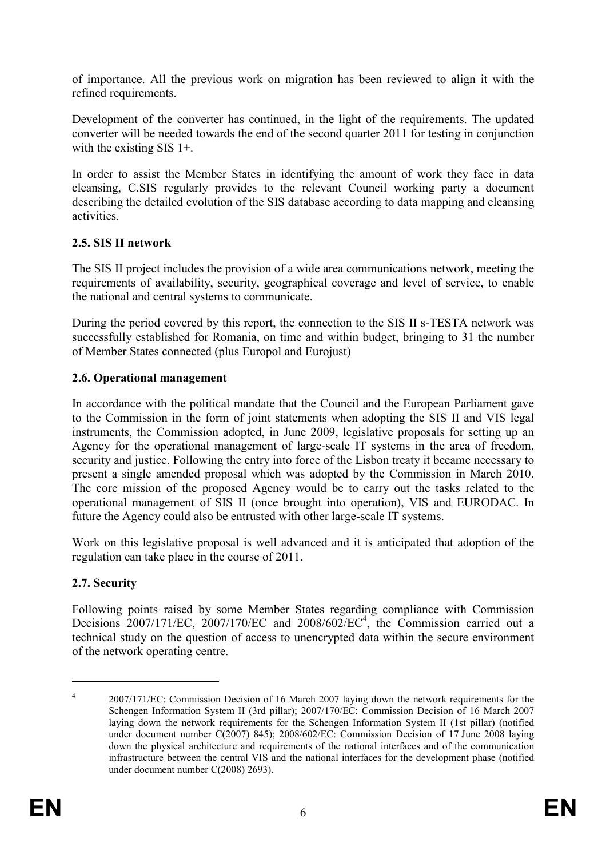of importance. All the previous work on migration has been reviewed to align it with the refined requirements.

Development of the converter has continued, in the light of the requirements. The updated converter will be needed towards the end of the second quarter 2011 for testing in conjunction with the existing SIS 1+.

In order to assist the Member States in identifying the amount of work they face in data cleansing, C.SIS regularly provides to the relevant Council working party a document describing the detailed evolution of the SIS database according to data mapping and cleansing activities.

#### **2.5. SIS II network**

The SIS II project includes the provision of a wide area communications network, meeting the requirements of availability, security, geographical coverage and level of service, to enable the national and central systems to communicate.

During the period covered by this report, the connection to the SIS II s-TESTA network was successfully established for Romania, on time and within budget, bringing to 31 the number of Member States connected (plus Europol and Eurojust)

### **2.6. Operational management**

In accordance with the political mandate that the Council and the European Parliament gave to the Commission in the form of joint statements when adopting the SIS II and VIS legal instruments, the Commission adopted, in June 2009, legislative proposals for setting up an Agency for the operational management of large-scale IT systems in the area of freedom, security and justice. Following the entry into force of the Lisbon treaty it became necessary to present a single amended proposal which was adopted by the Commission in March 2010. The core mission of the proposed Agency would be to carry out the tasks related to the operational management of SIS II (once brought into operation), VIS and EURODAC. In future the Agency could also be entrusted with other large-scale IT systems.

Work on this legislative proposal is well advanced and it is anticipated that adoption of the regulation can take place in the course of 2011.

## **2.7. Security**

 $\overline{a}$ 

Following points raised by some Member States regarding compliance with Commission Decisions 2007/171/EC, 2007/170/EC and 2008/602/EC<sup>4</sup>, the Commission carried out a technical study on the question of access to unencrypted data within the secure environment of the network operating centre.

<sup>4</sup> 2007/171/EC: Commission Decision of 16 March 2007 laying down the network requirements for the Schengen Information System II (3rd pillar); 2007/170/EC: Commission Decision of 16 March 2007 laying down the network requirements for the Schengen Information System II (1st pillar) (notified under document number C(2007) 845); 2008/602/EC: Commission Decision of 17 June 2008 laying down the physical architecture and requirements of the national interfaces and of the communication infrastructure between the central VIS and the national interfaces for the development phase (notified under document number C(2008) 2693).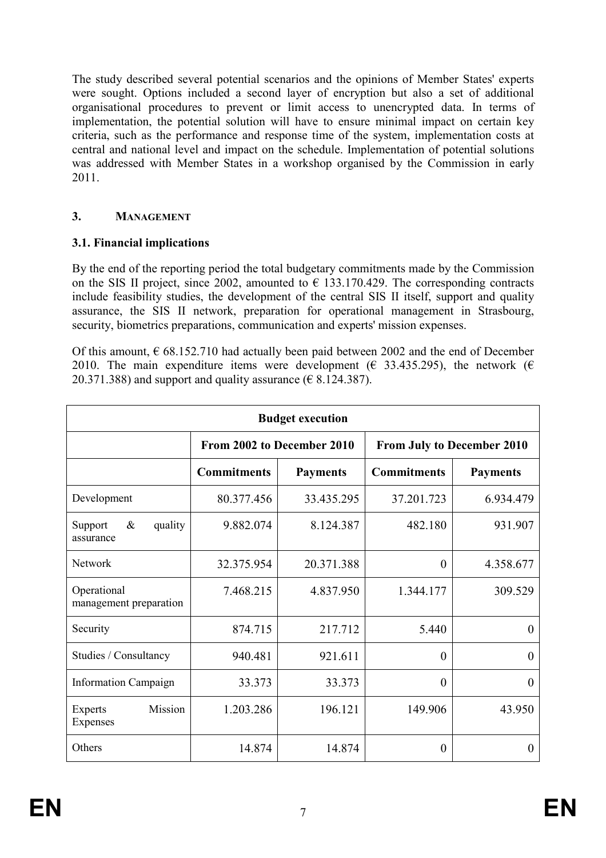The study described several potential scenarios and the opinions of Member States' experts were sought. Options included a second layer of encryption but also a set of additional organisational procedures to prevent or limit access to unencrypted data. In terms of implementation, the potential solution will have to ensure minimal impact on certain key criteria, such as the performance and response time of the system, implementation costs at central and national level and impact on the schedule. Implementation of potential solutions was addressed with Member States in a workshop organised by the Commission in early 2011.

### 3. **MANAGEMENT**

#### **3.1. Financial implications**

By the end of the reporting period the total budgetary commitments made by the Commission on the SIS II project, since 2002, amounted to  $\epsilon$  133.170.429. The corresponding contracts include feasibility studies, the development of the central SIS II itself, support and quality assurance, the SIS II network, preparation for operational management in Strasbourg, security, biometrics preparations, communication and experts' mission expenses.

Of this amount,  $\epsilon$  68.152.710 had actually been paid between 2002 and the end of December 2010. The main expenditure items were development ( $\epsilon$  33.435.295), the network ( $\epsilon$ 20.371.388) and support and quality assurance ( $\epsilon$  8.124.387).

| <b>Budget execution</b>               |                            |                 |                                   |                 |
|---------------------------------------|----------------------------|-----------------|-----------------------------------|-----------------|
|                                       | From 2002 to December 2010 |                 | <b>From July to December 2010</b> |                 |
|                                       | <b>Commitments</b>         | <b>Payments</b> | <b>Commitments</b>                | <b>Payments</b> |
| Development                           | 80.377.456                 | 33.435.295      | 37.201.723                        | 6.934.479       |
| quality<br>&<br>Support<br>assurance  | 9.882.074                  | 8.124.387       | 482.180                           | 931.907         |
| <b>Network</b>                        | 32.375.954                 | 20.371.388      | $\theta$                          | 4.358.677       |
| Operational<br>management preparation | 7.468.215                  | 4.837.950       | 1.344.177                         | 309.529         |
| Security                              | 874.715                    | 217.712         | 5.440                             | $\Omega$        |
| Studies / Consultancy                 | 940.481                    | 921.611         | $\theta$                          | $\theta$        |
| <b>Information Campaign</b>           | 33.373                     | 33.373          | $\Omega$                          | $\Omega$        |
| Mission<br><b>Experts</b><br>Expenses | 1.203.286                  | 196.121         | 149.906                           | 43.950          |
| Others                                | 14.874                     | 14.874          | $\theta$                          | 0               |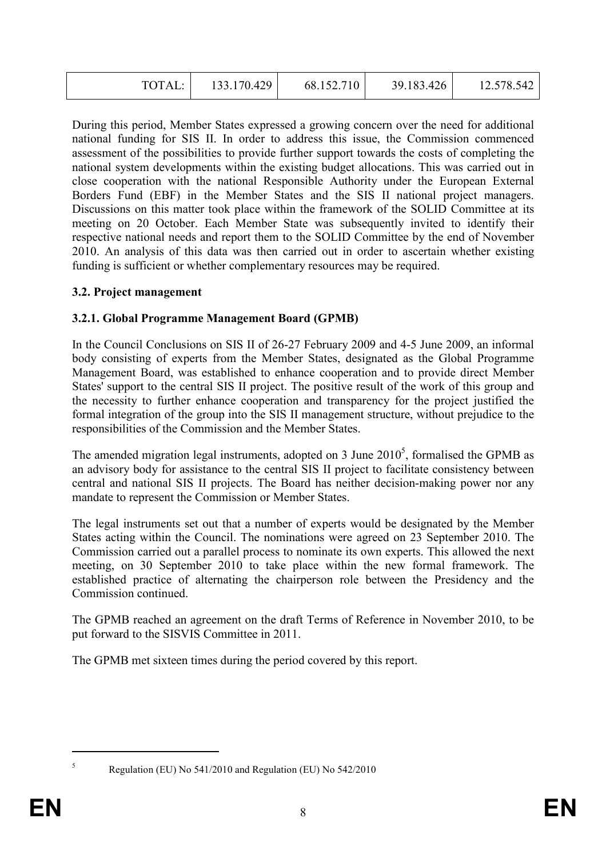|--|

During this period, Member States expressed a growing concern over the need for additional national funding for SIS II. In order to address this issue, the Commission commenced assessment of the possibilities to provide further support towards the costs of completing the national system developments within the existing budget allocations. This was carried out in close cooperation with the national Responsible Authority under the European External Borders Fund (EBF) in the Member States and the SIS II national project managers. Discussions on this matter took place within the framework of the SOLID Committee at its meeting on 20 October. Each Member State was subsequently invited to identify their respective national needs and report them to the SOLID Committee by the end of November 2010. An analysis of this data was then carried out in order to ascertain whether existing funding is sufficient or whether complementary resources may be required.

#### **3.2. Project management**

#### **3.2.1. Global Programme Management Board (GPMB)**

In the Council Conclusions on SIS II of 26-27 February 2009 and 4-5 June 2009, an informal body consisting of experts from the Member States, designated as the Global Programme Management Board, was established to enhance cooperation and to provide direct Member States' support to the central SIS II project. The positive result of the work of this group and the necessity to further enhance cooperation and transparency for the project justified the formal integration of the group into the SIS II management structure, without prejudice to the responsibilities of the Commission and the Member States.

The amended migration legal instruments, adopted on 3 June  $2010<sup>5</sup>$ , formalised the GPMB as an advisory body for assistance to the central SIS II project to facilitate consistency between central and national SIS II projects. The Board has neither decision-making power nor any mandate to represent the Commission or Member States.

The legal instruments set out that a number of experts would be designated by the Member States acting within the Council. The nominations were agreed on 23 September 2010. The Commission carried out a parallel process to nominate its own experts. This allowed the next meeting, on 30 September 2010 to take place within the new formal framework. The established practice of alternating the chairperson role between the Presidency and the Commission continued.

The GPMB reached an agreement on the draft Terms of Reference in November 2010, to be put forward to the SISVIS Committee in 2011.

The GPMB met sixteen times during the period covered by this report.

 $\overline{a}$ 5

Regulation (EU) No 541/2010 and Regulation (EU) No 542/2010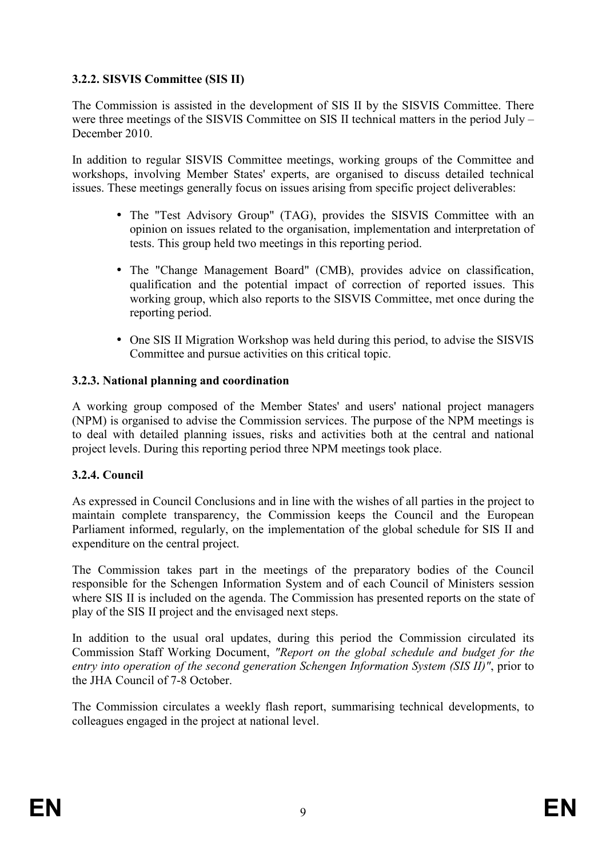### **3.2.2. SISVIS Committee (SIS II)**

The Commission is assisted in the development of SIS II by the SISVIS Committee. There were three meetings of the SISVIS Committee on SIS II technical matters in the period July – December 2010.

In addition to regular SISVIS Committee meetings, working groups of the Committee and workshops, involving Member States' experts, are organised to discuss detailed technical issues. These meetings generally focus on issues arising from specific project deliverables:

- The "Test Advisory Group" (TAG), provides the SISVIS Committee with an opinion on issues related to the organisation, implementation and interpretation of tests. This group held two meetings in this reporting period.
- The "Change Management Board" (CMB), provides advice on classification, qualification and the potential impact of correction of reported issues. This working group, which also reports to the SISVIS Committee, met once during the reporting period.
- One SIS II Migration Workshop was held during this period, to advise the SISVIS Committee and pursue activities on this critical topic.

#### **3.2.3. National planning and coordination**

A working group composed of the Member States' and users' national project managers (NPM) is organised to advise the Commission services. The purpose of the NPM meetings is to deal with detailed planning issues, risks and activities both at the central and national project levels. During this reporting period three NPM meetings took place.

#### **3.2.4. Council**

As expressed in Council Conclusions and in line with the wishes of all parties in the project to maintain complete transparency, the Commission keeps the Council and the European Parliament informed, regularly, on the implementation of the global schedule for SIS II and expenditure on the central project.

The Commission takes part in the meetings of the preparatory bodies of the Council responsible for the Schengen Information System and of each Council of Ministers session where SIS II is included on the agenda. The Commission has presented reports on the state of play of the SIS II project and the envisaged next steps.

In addition to the usual oral updates, during this period the Commission circulated its Commission Staff Working Document, *"Report on the global schedule and budget for the entry into operation of the second generation Schengen Information System (SIS II)"*, prior to the JHA Council of 7-8 October.

The Commission circulates a weekly flash report, summarising technical developments, to colleagues engaged in the project at national level.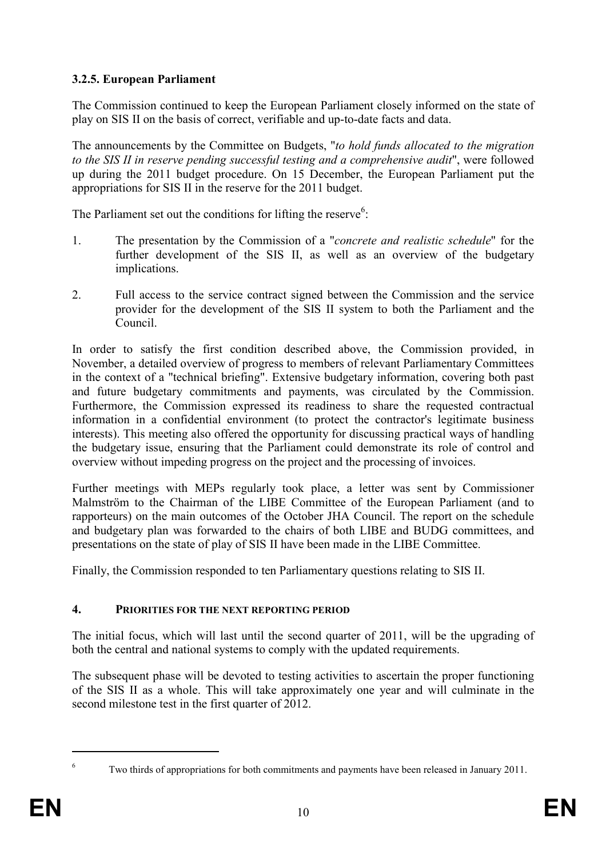## **3.2.5. European Parliament**

The Commission continued to keep the European Parliament closely informed on the state of play on SIS II on the basis of correct, verifiable and up-to-date facts and data.

The announcements by the Committee on Budgets, "*to hold funds allocated to the migration to the SIS II in reserve pending successful testing and a comprehensive audit*", were followed up during the 2011 budget procedure. On 15 December, the European Parliament put the appropriations for SIS II in the reserve for the 2011 budget.

The Parliament set out the conditions for lifting the reserve<sup>6</sup>:

- 1. The presentation by the Commission of a "*concrete and realistic schedule*" for the further development of the SIS II, as well as an overview of the budgetary implications.
- 2. Full access to the service contract signed between the Commission and the service provider for the development of the SIS II system to both the Parliament and the Council.

In order to satisfy the first condition described above, the Commission provided, in November, a detailed overview of progress to members of relevant Parliamentary Committees in the context of a "technical briefing". Extensive budgetary information, covering both past and future budgetary commitments and payments, was circulated by the Commission. Furthermore, the Commission expressed its readiness to share the requested contractual information in a confidential environment (to protect the contractor's legitimate business interests). This meeting also offered the opportunity for discussing practical ways of handling the budgetary issue, ensuring that the Parliament could demonstrate its role of control and overview without impeding progress on the project and the processing of invoices.

Further meetings with MEPs regularly took place, a letter was sent by Commissioner Malmström to the Chairman of the LIBE Committee of the European Parliament (and to rapporteurs) on the main outcomes of the October JHA Council. The report on the schedule and budgetary plan was forwarded to the chairs of both LIBE and BUDG committees, and presentations on the state of play of SIS II have been made in the LIBE Committee.

Finally, the Commission responded to ten Parliamentary questions relating to SIS II.

## **4. PRIORITIES FOR THE NEXT REPORTING PERIOD**

The initial focus, which will last until the second quarter of 2011, will be the upgrading of both the central and national systems to comply with the updated requirements.

The subsequent phase will be devoted to testing activities to ascertain the proper functioning of the SIS II as a whole. This will take approximately one year and will culminate in the second milestone test in the first quarter of 2012.

 $\overline{a}$ 6

Two thirds of appropriations for both commitments and payments have been released in January 2011.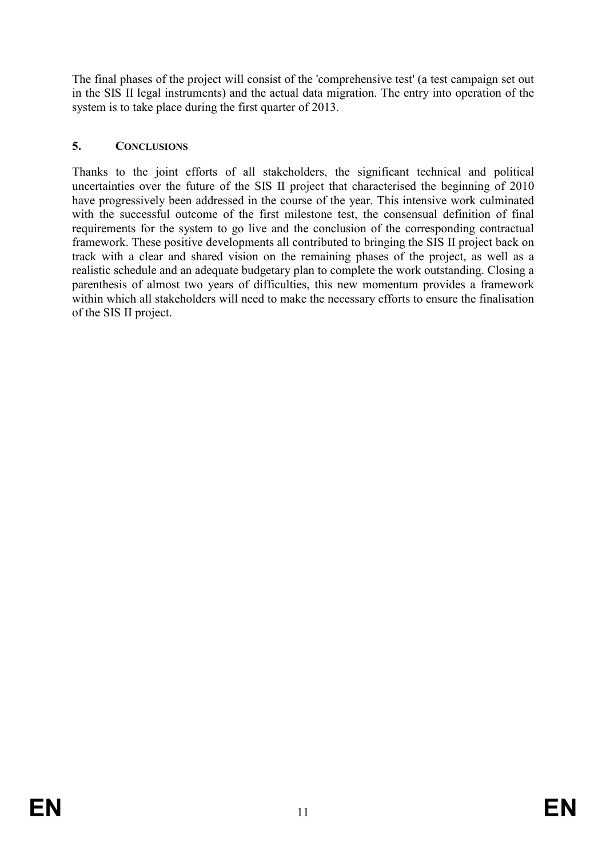The final phases of the project will consist of the 'comprehensive test' (a test campaign set out in the SIS II legal instruments) and the actual data migration. The entry into operation of the system is to take place during the first quarter of 2013.

## **5. COCLUSIOS**

Thanks to the joint efforts of all stakeholders, the significant technical and political uncertainties over the future of the SIS II project that characterised the beginning of 2010 have progressively been addressed in the course of the year. This intensive work culminated with the successful outcome of the first milestone test, the consensual definition of final requirements for the system to go live and the conclusion of the corresponding contractual framework. These positive developments all contributed to bringing the SIS II project back on track with a clear and shared vision on the remaining phases of the project, as well as a realistic schedule and an adequate budgetary plan to complete the work outstanding. Closing a parenthesis of almost two years of difficulties, this new momentum provides a framework within which all stakeholders will need to make the necessary efforts to ensure the finalisation of the SIS II project.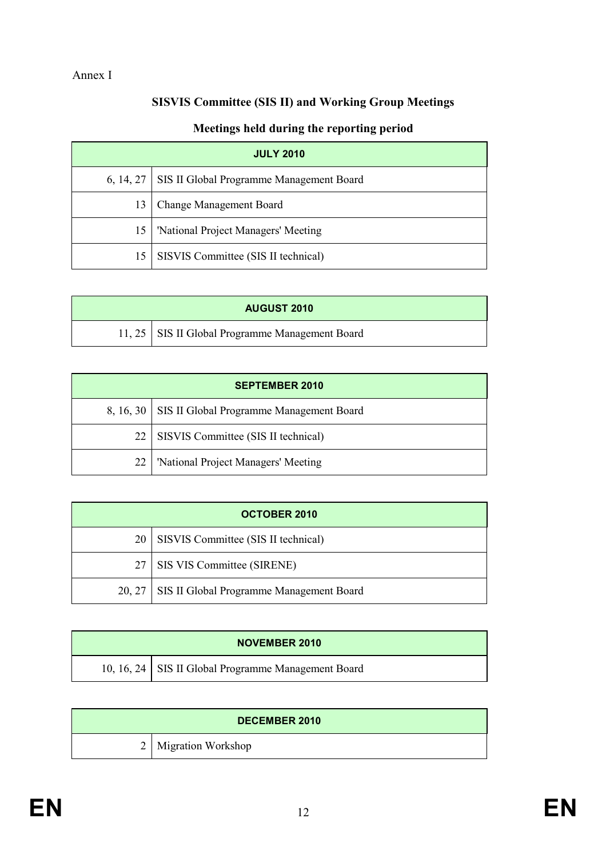# **SISVIS Committee (SIS II) and Working Group Meetings**

## **Meetings held during the reporting period**

| <b>JULY 2010</b> |                                                      |  |
|------------------|------------------------------------------------------|--|
|                  | 6, 14, 27   SIS II Global Programme Management Board |  |
| 13               | <b>Change Management Board</b>                       |  |
| 15               | 'National Project Managers' Meeting                  |  |
| 15               | SISVIS Committee (SIS II technical)                  |  |

| <b>AUGUST 2010</b> |                                                   |  |
|--------------------|---------------------------------------------------|--|
|                    | 11, 25   SIS II Global Programme Management Board |  |

| <b>SEPTEMBER 2010</b> |                                                      |  |
|-----------------------|------------------------------------------------------|--|
|                       | 8, 16, 30   SIS II Global Programme Management Board |  |
|                       | 22   SISVIS Committee (SIS II technical)             |  |
| 22                    | 'National Project Managers' Meeting                  |  |

| <b>OCTOBER 2010</b> |                                                   |  |
|---------------------|---------------------------------------------------|--|
|                     | 20   SISVIS Committee (SIS II technical)          |  |
| 27 <sup>1</sup>     | SIS VIS Committee (SIRENE)                        |  |
|                     | 20, 27   SIS II Global Programme Management Board |  |

| <b>NOVEMBER 2010</b> |                                                       |  |
|----------------------|-------------------------------------------------------|--|
|                      | 10, 16, 24   SIS II Global Programme Management Board |  |

| <b>DECEMBER 2010</b> |                        |
|----------------------|------------------------|
|                      | 2   Migration Workshop |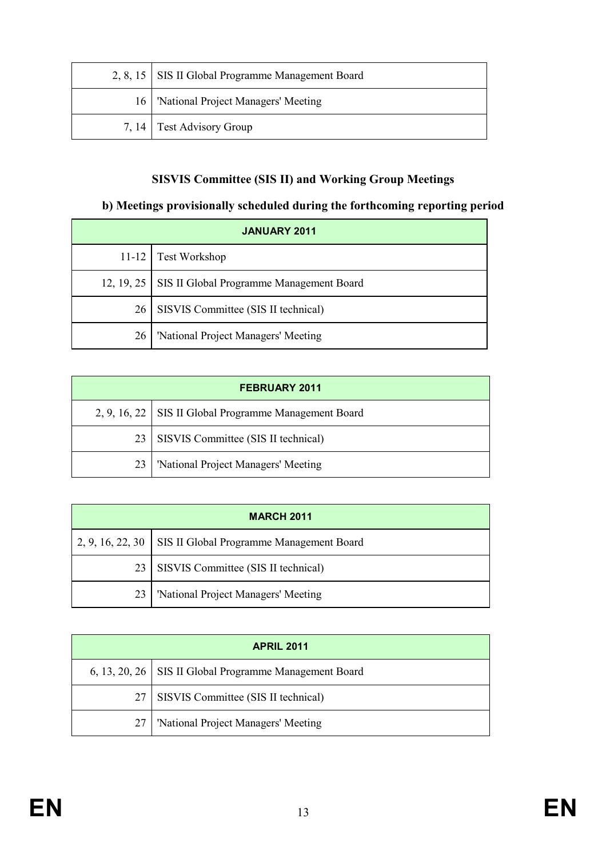| 2, 8, 15   SIS II Global Programme Management Board |
|-----------------------------------------------------|
| 16   'National Project Managers' Meeting            |
| 7, 14 Test Advisory Group                           |

## **SISVIS Committee (SIS II) and Working Group Meetings**

### **b) Meetings provisionally scheduled during the forthcoming reporting period**

| <b>JANUARY 2011</b> |                                                       |  |
|---------------------|-------------------------------------------------------|--|
|                     | 11-12 Test Workshop                                   |  |
|                     | 12, 19, 25   SIS II Global Programme Management Board |  |
| 26                  | SISVIS Committee (SIS II technical)                   |  |
| 26                  | 'National Project Managers' Meeting                   |  |

| <b>FEBRUARY 2011</b> |                                                         |  |
|----------------------|---------------------------------------------------------|--|
|                      | 2, 9, 16, 22   SIS II Global Programme Management Board |  |
| 23                   | SISVIS Committee (SIS II technical)                     |  |
| 23                   | 'National Project Managers' Meeting                     |  |

| <b>MARCH 2011</b> |                                                             |  |
|-------------------|-------------------------------------------------------------|--|
|                   | 2, 9, 16, 22, 30   SIS II Global Programme Management Board |  |
|                   | 23   SISVIS Committee (SIS II technical)                    |  |
| 23                | 'National Project Managers' Meeting                         |  |

| <b>APRIL 2011</b> |                                                          |  |
|-------------------|----------------------------------------------------------|--|
|                   | 6, 13, 20, 26   SIS II Global Programme Management Board |  |
| 27                | SISVIS Committee (SIS II technical)                      |  |
|                   | 'National Project Managers' Meeting                      |  |